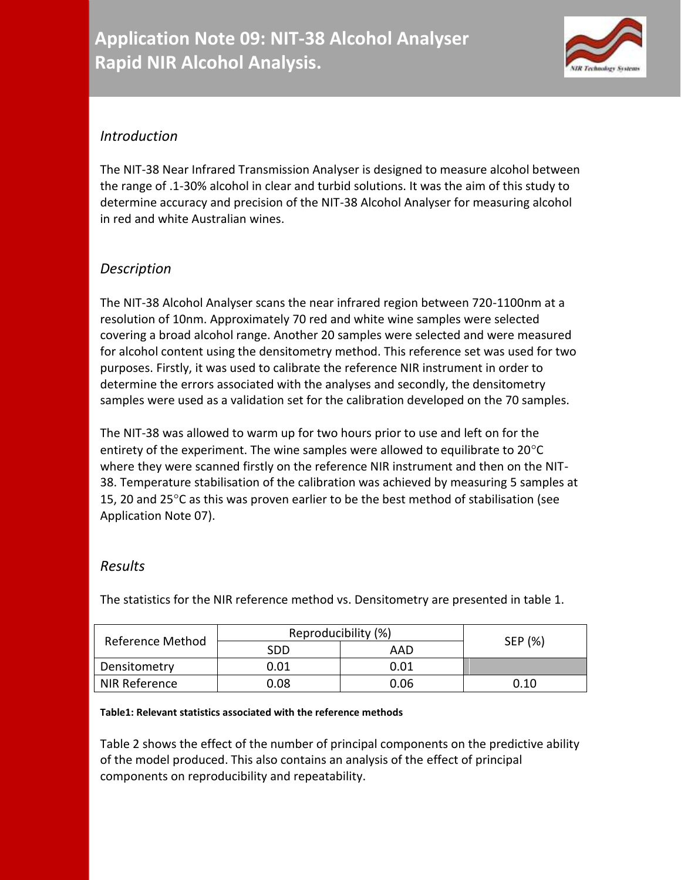

## *Introduction*

The NIT-38 Near Infrared Transmission Analyser is designed to measure alcohol between the range of .1-30% alcohol in clear and turbid solutions. It was the aim of this study to determine accuracy and precision of the NIT-38 Alcohol Analyser for measuring alcohol in red and white Australian wines.

# *Description*

The NIT-38 Alcohol Analyser scans the near infrared region between 720-1100nm at a resolution of 10nm. Approximately 70 red and white wine samples were selected covering a broad alcohol range. Another 20 samples were selected and were measured for alcohol content using the densitometry method. This reference set was used for two purposes. Firstly, it was used to calibrate the reference NIR instrument in order to determine the errors associated with the analyses and secondly, the densitometry samples were used as a validation set for the calibration developed on the 70 samples.

The NIT-38 was allowed to warm up for two hours prior to use and left on for the entirety of the experiment. The wine samples were allowed to equilibrate to  $20^{\circ}$ C where they were scanned firstly on the reference NIR instrument and then on the NIT-38. Temperature stabilisation of the calibration was achieved by measuring 5 samples at 15, 20 and 25 $\degree$ C as this was proven earlier to be the best method of stabilisation (see Application Note 07).

### *Results*

The statistics for the NIR reference method vs. Densitometry are presented in table 1.

| Reference Method | Reproducibility (%) |      |         |
|------------------|---------------------|------|---------|
|                  | SDD                 | AAD  | SEP (%) |
| Densitometry     | 0.01                | 0.01 |         |
| NIR Reference    | 0.08                | 0.06 | 0.10    |

#### **Table1: Relevant statistics associated with the reference methods**

Table 2 shows the effect of the number of principal components on the predictive ability of the model produced. This also contains an analysis of the effect of principal components on reproducibility and repeatability.